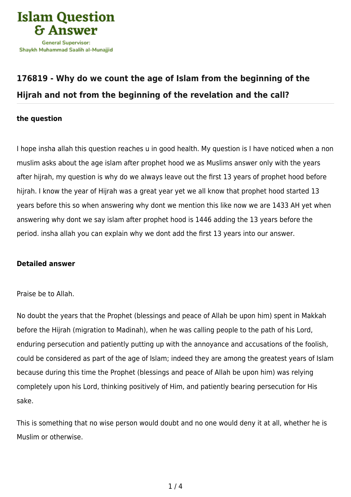

## **[176819 - Why do we count the age of Islam from the beginning of the](https://islamqa.com/en/answers/176819/why-do-we-count-the-age-of-islam-from-the-beginning-of-the-hijrah-and-not-from-the-beginning-of-the-revelation-and-the-call) [Hijrah and not from the beginning of the revelation and the call?](https://islamqa.com/en/answers/176819/why-do-we-count-the-age-of-islam-from-the-beginning-of-the-hijrah-and-not-from-the-beginning-of-the-revelation-and-the-call)**

## **the question**

I hope insha allah this question reaches u in good health. My question is I have noticed when a non muslim asks about the age islam after prophet hood we as Muslims answer only with the years after hijrah, my question is why do we always leave out the first 13 years of prophet hood before hijrah. I know the year of Hijrah was a great year yet we all know that prophet hood started 13 years before this so when answering why dont we mention this like now we are 1433 AH yet when answering why dont we say islam after prophet hood is 1446 adding the 13 years before the period. insha allah you can explain why we dont add the first 13 years into our answer.

## **Detailed answer**

## Praise be to Allah.

No doubt the years that the Prophet (blessings and peace of Allah be upon him) spent in Makkah before the Hijrah (migration to Madinah), when he was calling people to the path of his Lord, enduring persecution and patiently putting up with the annoyance and accusations of the foolish, could be considered as part of the age of Islam; indeed they are among the greatest years of Islam because during this time the Prophet (blessings and peace of Allah be upon him) was relying completely upon his Lord, thinking positively of Him, and patiently bearing persecution for His sake.

This is something that no wise person would doubt and no one would deny it at all, whether he is Muslim or otherwise.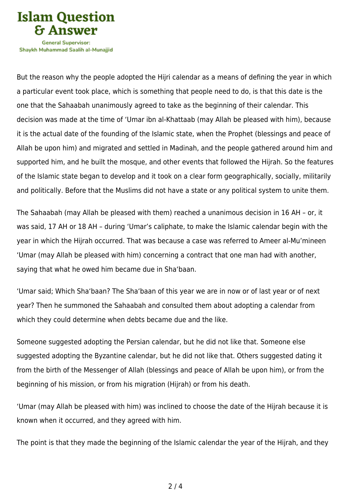

Shavkh Muhammad Saalih al-Munaiiid

But the reason why the people adopted the Hijri calendar as a means of defining the year in which a particular event took place, which is something that people need to do, is that this date is the one that the Sahaabah unanimously agreed to take as the beginning of their calendar. This decision was made at the time of 'Umar ibn al-Khattaab (may Allah be pleased with him), because it is the actual date of the founding of the Islamic state, when the Prophet (blessings and peace of Allah be upon him) and migrated and settled in Madinah, and the people gathered around him and supported him, and he built the mosque, and other events that followed the Hijrah. So the features of the Islamic state began to develop and it took on a clear form geographically, socially, militarily and politically. Before that the Muslims did not have a state or any political system to unite them.

The Sahaabah (may Allah be pleased with them) reached a unanimous decision in 16 AH – or, it was said, 17 AH or 18 AH – during 'Umar's caliphate, to make the Islamic calendar begin with the year in which the Hijrah occurred. That was because a case was referred to Ameer al-Mu'mineen 'Umar (may Allah be pleased with him) concerning a contract that one man had with another, saying that what he owed him became due in Sha'baan.

'Umar said; Which Sha'baan? The Sha'baan of this year we are in now or of last year or of next year? Then he summoned the Sahaabah and consulted them about adopting a calendar from which they could determine when debts became due and the like.

Someone suggested adopting the Persian calendar, but he did not like that. Someone else suggested adopting the Byzantine calendar, but he did not like that. Others suggested dating it from the birth of the Messenger of Allah (blessings and peace of Allah be upon him), or from the beginning of his mission, or from his migration (Hijrah) or from his death.

'Umar (may Allah be pleased with him) was inclined to choose the date of the Hijrah because it is known when it occurred, and they agreed with him.

The point is that they made the beginning of the Islamic calendar the year of the Hijrah, and they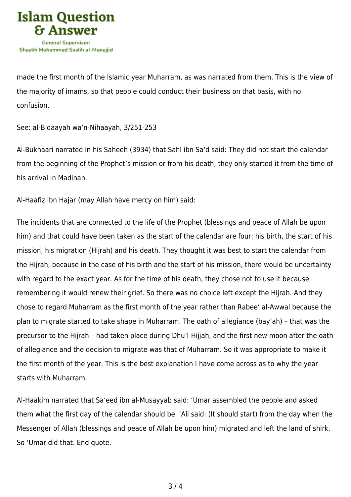

made the first month of the Islamic year Muharram, as was narrated from them. This is the view of the majority of imams, so that people could conduct their business on that basis, with no confusion.

See: al-Bidaayah wa'n-Nihaayah, 3/251-253

Al-Bukhaari narrated in his Saheeh (3934) that Sahl ibn Sa'd said: They did not start the calendar from the beginning of the Prophet's mission or from his death; they only started it from the time of his arrival in Madinah.

Al-Haafiz Ibn Hajar (may Allah have mercy on him) said:

The incidents that are connected to the life of the Prophet (blessings and peace of Allah be upon him) and that could have been taken as the start of the calendar are four: his birth, the start of his mission, his migration (Hijrah) and his death. They thought it was best to start the calendar from the Hijrah, because in the case of his birth and the start of his mission, there would be uncertainty with regard to the exact year. As for the time of his death, they chose not to use it because remembering it would renew their grief. So there was no choice left except the Hijrah. And they chose to regard Muharram as the first month of the year rather than Rabee' al-Awwal because the plan to migrate started to take shape in Muharram. The oath of allegiance (bay'ah) – that was the precursor to the Hijrah – had taken place during Dhu'l-Hijjah, and the first new moon after the oath of allegiance and the decision to migrate was that of Muharram. So it was appropriate to make it the first month of the year. This is the best explanation I have come across as to why the year starts with Muharram.

Al-Haakim narrated that Sa'eed ibn al-Musayyab said: 'Umar assembled the people and asked them what the first day of the calendar should be. 'Ali said: (It should start) from the day when the Messenger of Allah (blessings and peace of Allah be upon him) migrated and left the land of shirk. So 'Umar did that. End quote.